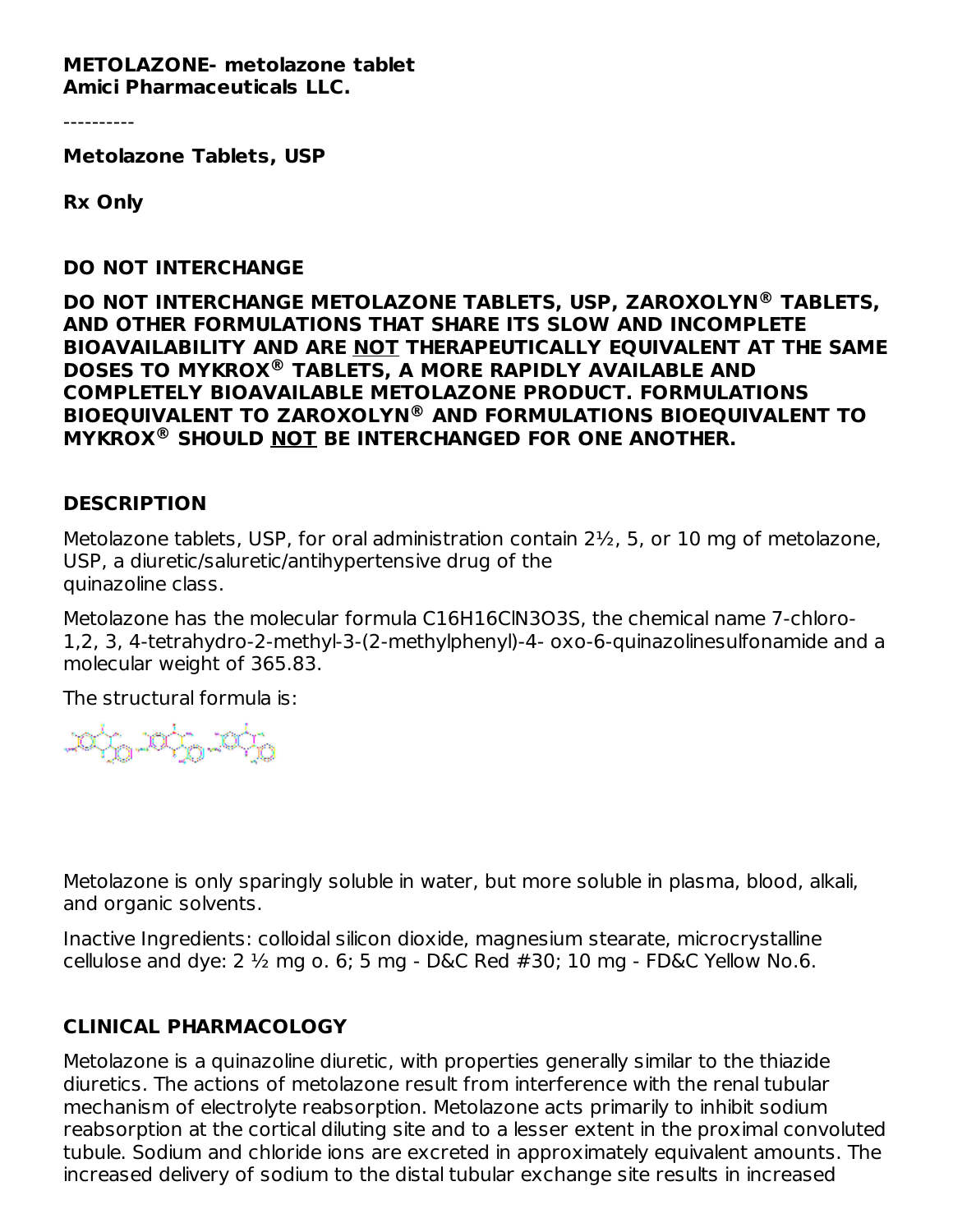**METOLAZONE- metolazone tablet Amici Pharmaceuticals LLC.**

----------

**Metolazone Tablets, USP**

**Rx Only**

#### **DO NOT INTERCHANGE**

**DO NOT INTERCHANGE METOLAZONE TABLETS, USP, ZAROXOLYN TABLETS, ® AND OTHER FORMULATIONS THAT SHARE ITS SLOW AND INCOMPLETE BIOAVAILABILITY AND ARE NOT THERAPEUTICALLY EQUIVALENT AT THE SAME DOSES TO MYKROX TABLETS, A MORE RAPIDLY AVAILABLE AND ® COMPLETELY BIOAVAILABLE METOLAZONE PRODUCT. FORMULATIONS BIOEQUIVALENT TO ZAROXOLYN AND FORMULATIONS BIOEQUIVALENT TO ® MYKROX SHOULD NOT BE INTERCHANGED FOR ONE ANOTHER. ®**

#### **DESCRIPTION**

Metolazone tablets, USP, for oral administration contain 2½, 5, or 10 mg of metolazone, USP, a diuretic/saluretic/antihypertensive drug of the quinazoline class.

Metolazone has the molecular formula C16H16ClN3O3S, the chemical name 7-chloro-1,2, 3, 4-tetrahydro-2-methyl-3-(2-methylphenyl)-4- oxo-6-quinazolinesulfonamide and a molecular weight of 365.83.

The structural formula is:

Metolazone is only sparingly soluble in water, but more soluble in plasma, blood, alkali, and organic solvents.

Inactive Ingredients: colloidal silicon dioxide, magnesium stearate, microcrystalline cellulose and dye:  $2 \frac{1}{2}$  mg o. 6; 5 mg - D&C Red  $\#30$ ; 10 mg - FD&C Yellow No.6.

#### **CLINICAL PHARMACOLOGY**

Metolazone is a quinazoline diuretic, with properties generally similar to the thiazide diuretics. The actions of metolazone result from interference with the renal tubular mechanism of electrolyte reabsorption. Metolazone acts primarily to inhibit sodium reabsorption at the cortical diluting site and to a lesser extent in the proximal convoluted tubule. Sodium and chloride ions are excreted in approximately equivalent amounts. The increased delivery of sodium to the distal tubular exchange site results in increased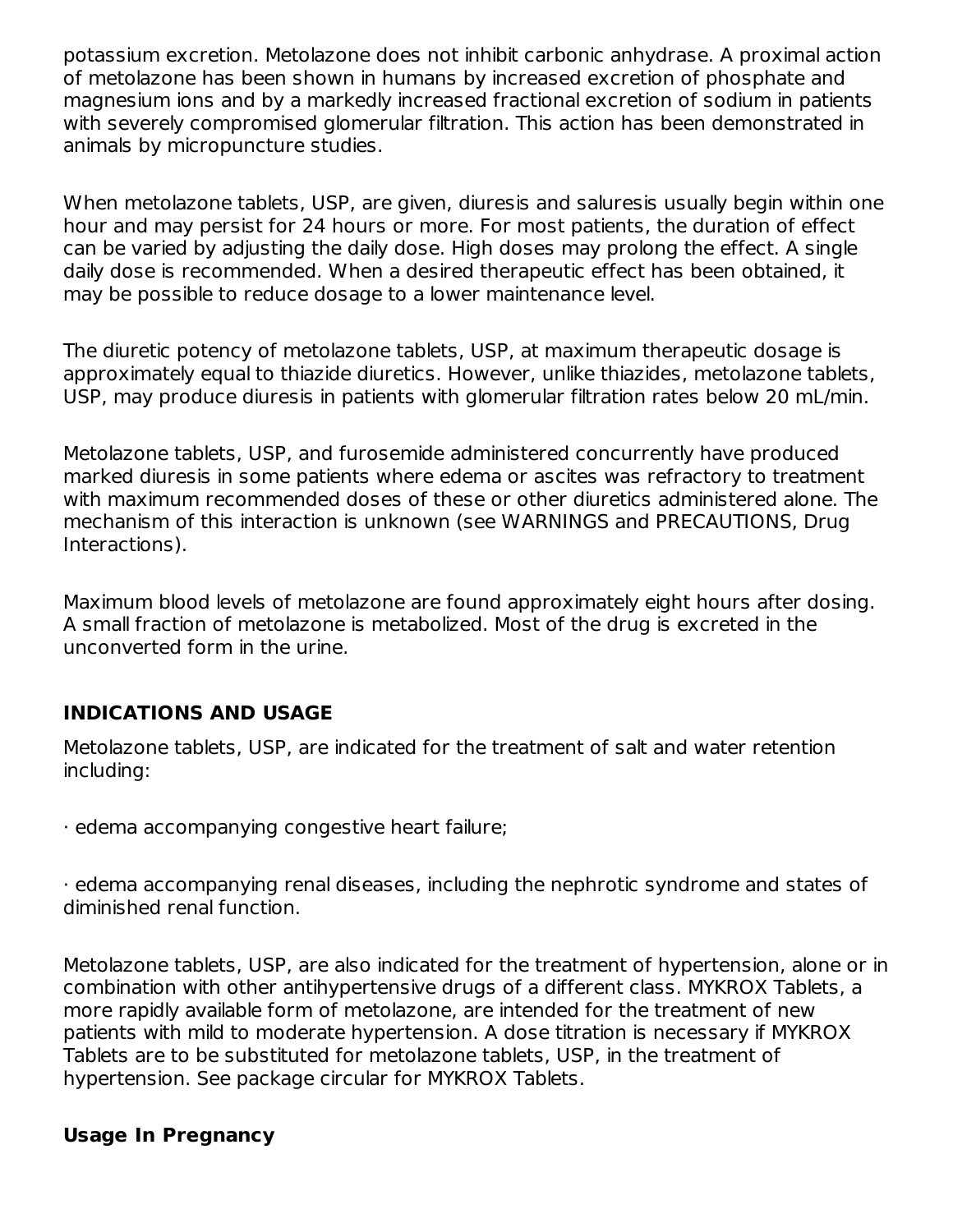potassium excretion. Metolazone does not inhibit carbonic anhydrase. A proximal action of metolazone has been shown in humans by increased excretion of phosphate and magnesium ions and by a markedly increased fractional excretion of sodium in patients with severely compromised glomerular filtration. This action has been demonstrated in animals by micropuncture studies.

When metolazone tablets, USP, are given, diuresis and saluresis usually begin within one hour and may persist for 24 hours or more. For most patients, the duration of effect can be varied by adjusting the daily dose. High doses may prolong the effect. A single daily dose is recommended. When a desired therapeutic effect has been obtained, it may be possible to reduce dosage to a lower maintenance level.

The diuretic potency of metolazone tablets, USP, at maximum therapeutic dosage is approximately equal to thiazide diuretics. However, unlike thiazides, metolazone tablets, USP, may produce diuresis in patients with glomerular filtration rates below 20 mL/min.

Metolazone tablets, USP, and furosemide administered concurrently have produced marked diuresis in some patients where edema or ascites was refractory to treatment with maximum recommended doses of these or other diuretics administered alone. The mechanism of this interaction is unknown (see WARNINGS and PRECAUTIONS, Drug Interactions).

Maximum blood levels of metolazone are found approximately eight hours after dosing. A small fraction of metolazone is metabolized. Most of the drug is excreted in the unconverted form in the urine.

#### **INDICATIONS AND USAGE**

Metolazone tablets, USP, are indicated for the treatment of salt and water retention including:

· edema accompanying congestive heart failure;

· edema accompanying renal diseases, including the nephrotic syndrome and states of diminished renal function.

Metolazone tablets, USP, are also indicated for the treatment of hypertension, alone or in combination with other antihypertensive drugs of a different class. MYKROX Tablets, a more rapidly available form of metolazone, are intended for the treatment of new patients with mild to moderate hypertension. A dose titration is necessary if MYKROX Tablets are to be substituted for metolazone tablets, USP, in the treatment of hypertension. See package circular for MYKROX Tablets.

#### **Usage In Pregnancy**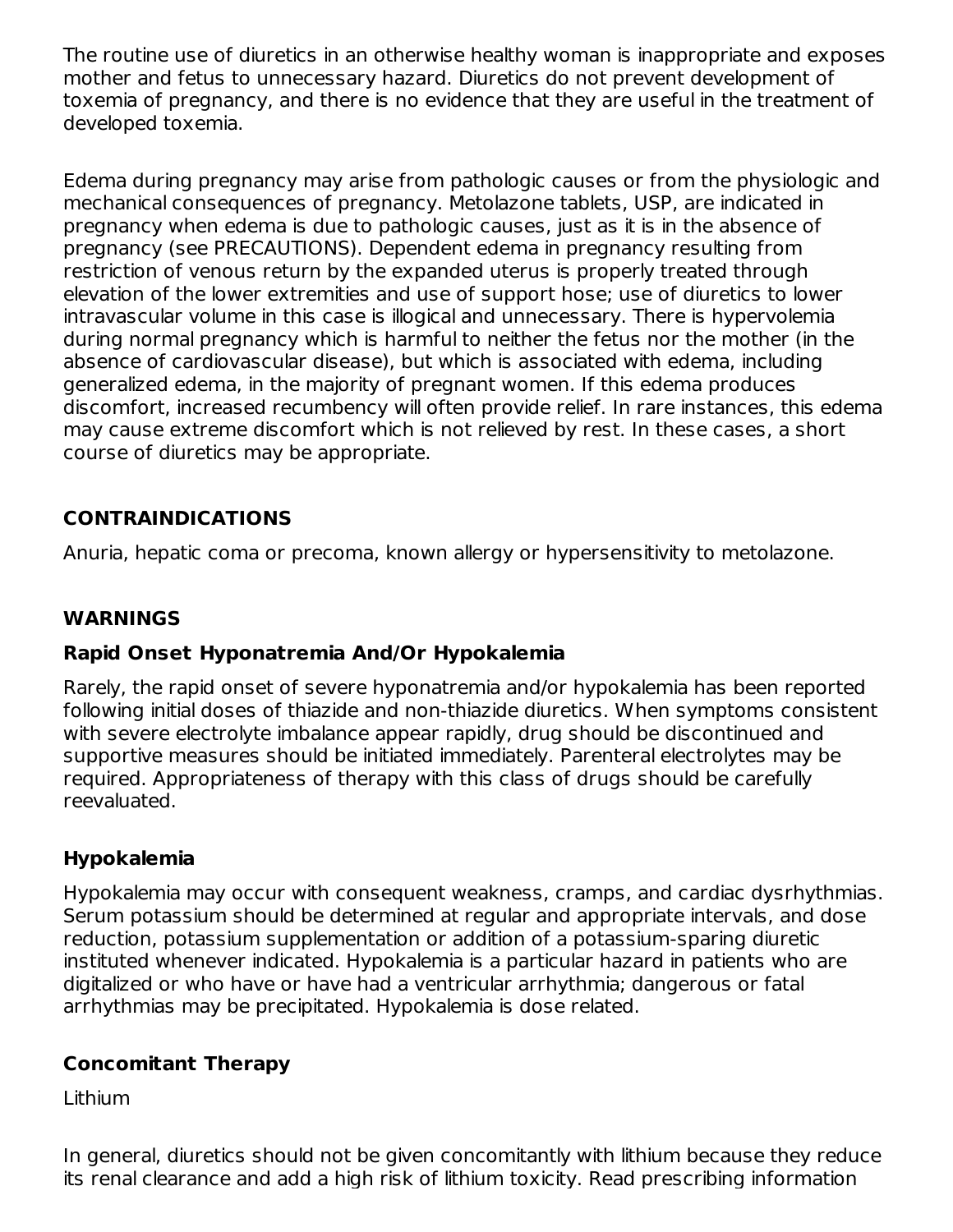The routine use of diuretics in an otherwise healthy woman is inappropriate and exposes mother and fetus to unnecessary hazard. Diuretics do not prevent development of toxemia of pregnancy, and there is no evidence that they are useful in the treatment of developed toxemia.

Edema during pregnancy may arise from pathologic causes or from the physiologic and mechanical consequences of pregnancy. Metolazone tablets, USP, are indicated in pregnancy when edema is due to pathologic causes, just as it is in the absence of pregnancy (see PRECAUTIONS). Dependent edema in pregnancy resulting from restriction of venous return by the expanded uterus is properly treated through elevation of the lower extremities and use of support hose; use of diuretics to lower intravascular volume in this case is illogical and unnecessary. There is hypervolemia during normal pregnancy which is harmful to neither the fetus nor the mother (in the absence of cardiovascular disease), but which is associated with edema, including generalized edema, in the majority of pregnant women. If this edema produces discomfort, increased recumbency will often provide relief. In rare instances, this edema may cause extreme discomfort which is not relieved by rest. In these cases, a short course of diuretics may be appropriate.

# **CONTRAINDICATIONS**

Anuria, hepatic coma or precoma, known allergy or hypersensitivity to metolazone.

# **WARNINGS**

## **Rapid Onset Hyponatremia And/Or Hypokalemia**

Rarely, the rapid onset of severe hyponatremia and/or hypokalemia has been reported following initial doses of thiazide and non-thiazide diuretics. When symptoms consistent with severe electrolyte imbalance appear rapidly, drug should be discontinued and supportive measures should be initiated immediately. Parenteral electrolytes may be required. Appropriateness of therapy with this class of drugs should be carefully reevaluated.

## **Hypokalemia**

Hypokalemia may occur with consequent weakness, cramps, and cardiac dysrhythmias. Serum potassium should be determined at regular and appropriate intervals, and dose reduction, potassium supplementation or addition of a potassium-sparing diuretic instituted whenever indicated. Hypokalemia is a particular hazard in patients who are digitalized or who have or have had a ventricular arrhythmia; dangerous or fatal arrhythmias may be precipitated. Hypokalemia is dose related.

## **Concomitant Therapy**

Lithium

In general, diuretics should not be given concomitantly with lithium because they reduce its renal clearance and add a high risk of lithium toxicity. Read prescribing information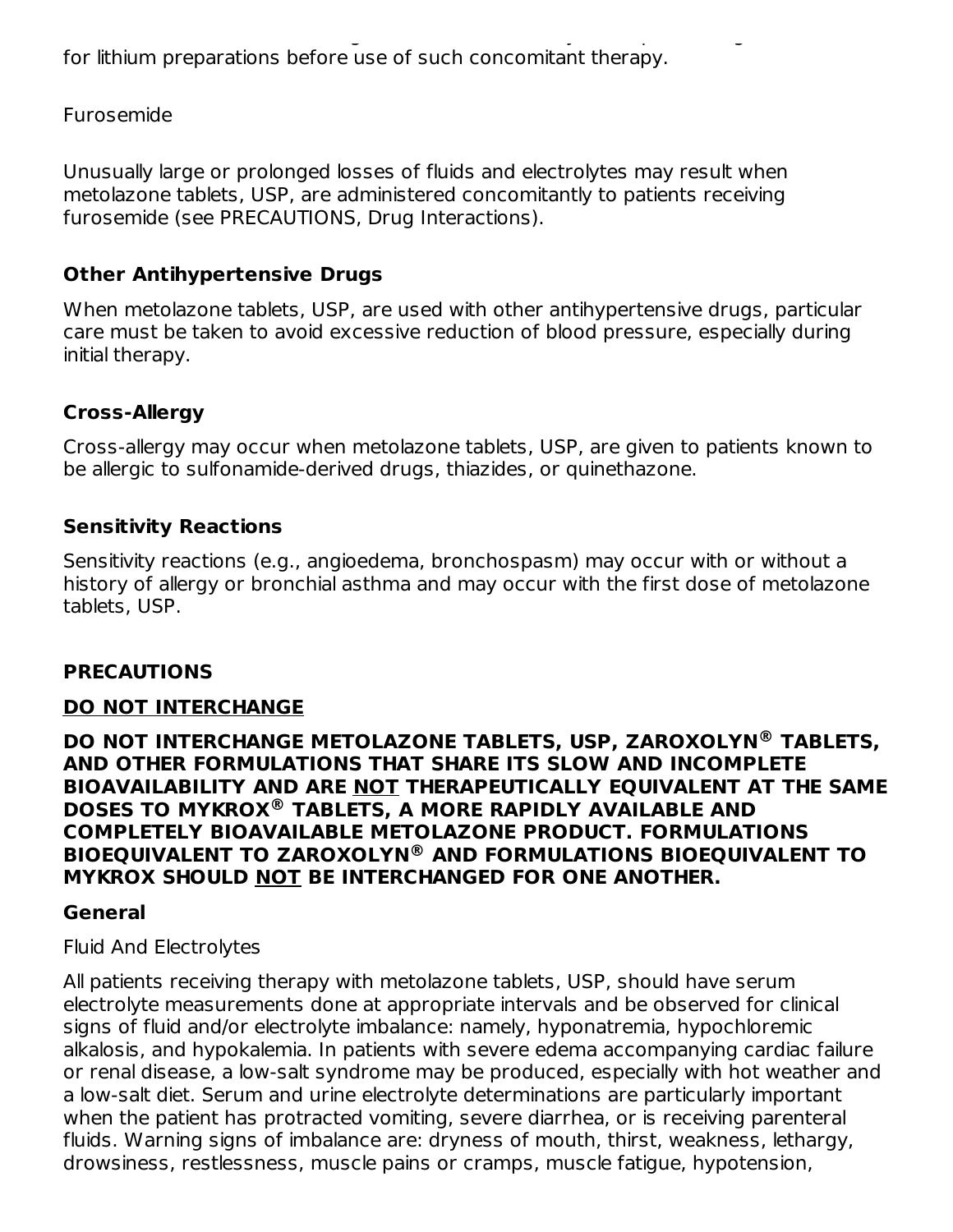its renal clearance and add a high risk of lithium toxicity. Read prescribing information for lithium preparations before use of such concomitant therapy.

Furosemide

Unusually large or prolonged losses of fluids and electrolytes may result when metolazone tablets, USP, are administered concomitantly to patients receiving furosemide (see PRECAUTIONS, Drug Interactions).

## **Other Antihypertensive Drugs**

When metolazone tablets, USP, are used with other antihypertensive drugs, particular care must be taken to avoid excessive reduction of blood pressure, especially during initial therapy.

### **Cross-Allergy**

Cross-allergy may occur when metolazone tablets, USP, are given to patients known to be allergic to sulfonamide-derived drugs, thiazides, or quinethazone.

### **Sensitivity Reactions**

Sensitivity reactions (e.g., angioedema, bronchospasm) may occur with or without a history of allergy or bronchial asthma and may occur with the first dose of metolazone tablets, USP.

#### **PRECAUTIONS**

#### **DO NOT INTERCHANGE**

**DO NOT INTERCHANGE METOLAZONE TABLETS, USP, ZAROXOLYN TABLETS, ® AND OTHER FORMULATIONS THAT SHARE ITS SLOW AND INCOMPLETE BIOAVAILABILITY AND ARE NOT THERAPEUTICALLY EQUIVALENT AT THE SAME DOSES TO MYKROX TABLETS, A MORE RAPIDLY AVAILABLE AND ® COMPLETELY BIOAVAILABLE METOLAZONE PRODUCT. FORMULATIONS BIOEQUIVALENT TO ZAROXOLYN AND FORMULATIONS BIOEQUIVALENT TO ®MYKROX SHOULD NOT BE INTERCHANGED FOR ONE ANOTHER.**

#### **General**

#### Fluid And Electrolytes

All patients receiving therapy with metolazone tablets, USP, should have serum electrolyte measurements done at appropriate intervals and be observed for clinical signs of fluid and/or electrolyte imbalance: namely, hyponatremia, hypochloremic alkalosis, and hypokalemia. In patients with severe edema accompanying cardiac failure or renal disease, a low-salt syndrome may be produced, especially with hot weather and a low-salt diet. Serum and urine electrolyte determinations are particularly important when the patient has protracted vomiting, severe diarrhea, or is receiving parenteral fluids. Warning signs of imbalance are: dryness of mouth, thirst, weakness, lethargy, drowsiness, restlessness, muscle pains or cramps, muscle fatigue, hypotension,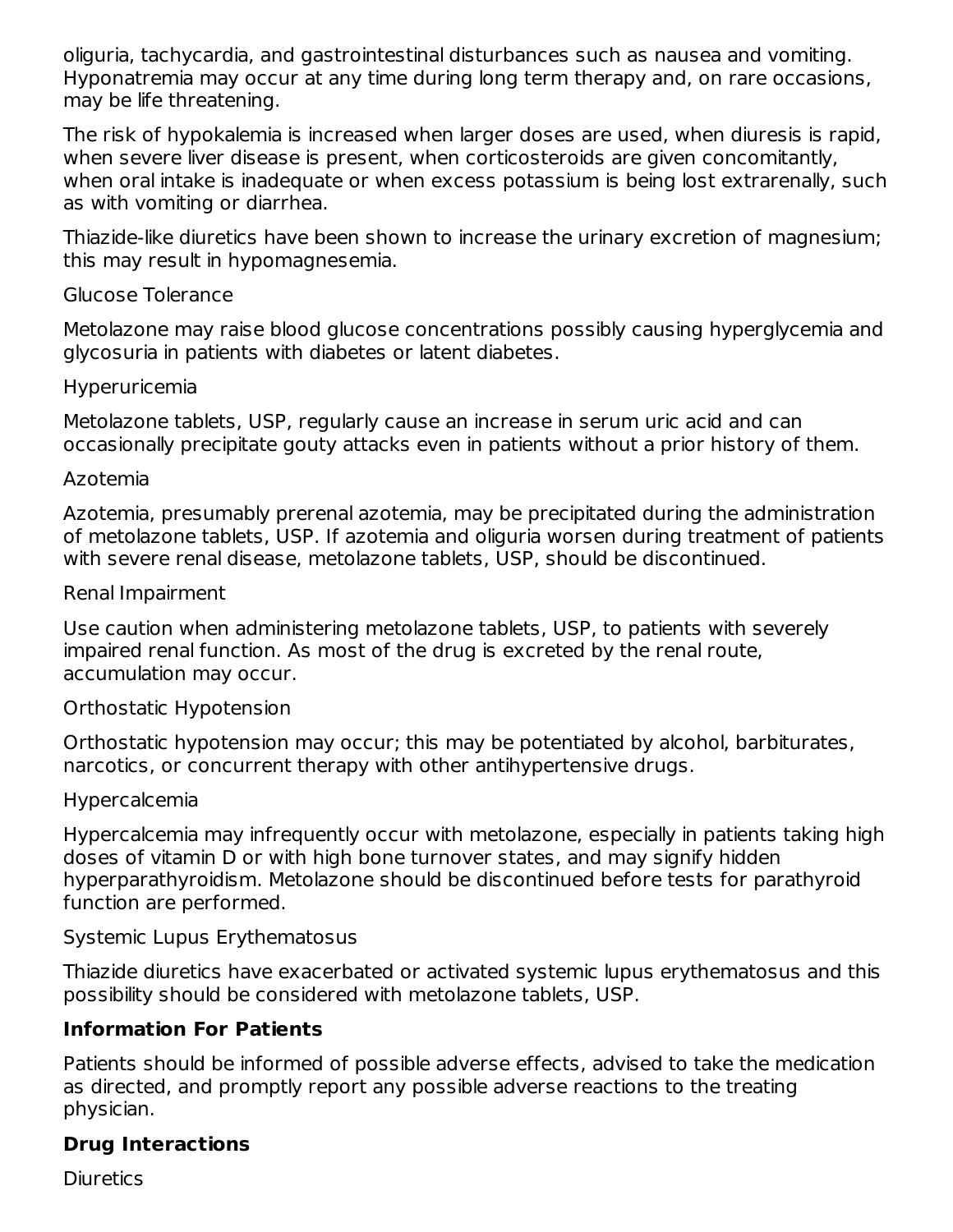oliguria, tachycardia, and gastrointestinal disturbances such as nausea and vomiting. Hyponatremia may occur at any time during long term therapy and, on rare occasions, may be life threatening.

The risk of hypokalemia is increased when larger doses are used, when diuresis is rapid, when severe liver disease is present, when corticosteroids are given concomitantly, when oral intake is inadequate or when excess potassium is being lost extrarenally, such as with vomiting or diarrhea.

Thiazide-like diuretics have been shown to increase the urinary excretion of magnesium; this may result in hypomagnesemia.

#### Glucose Tolerance

Metolazone may raise blood glucose concentrations possibly causing hyperglycemia and glycosuria in patients with diabetes or latent diabetes.

### Hyperuricemia

Metolazone tablets, USP, regularly cause an increase in serum uric acid and can occasionally precipitate gouty attacks even in patients without a prior history of them.

### Azotemia

Azotemia, presumably prerenal azotemia, may be precipitated during the administration of metolazone tablets, USP. If azotemia and oliguria worsen during treatment of patients with severe renal disease, metolazone tablets, USP, should be discontinued.

### Renal Impairment

Use caution when administering metolazone tablets, USP, to patients with severely impaired renal function. As most of the drug is excreted by the renal route, accumulation may occur.

## Orthostatic Hypotension

Orthostatic hypotension may occur; this may be potentiated by alcohol, barbiturates, narcotics, or concurrent therapy with other antihypertensive drugs.

## Hypercalcemia

Hypercalcemia may infrequently occur with metolazone, especially in patients taking high doses of vitamin D or with high bone turnover states, and may signify hidden hyperparathyroidism. Metolazone should be discontinued before tests for parathyroid function are performed.

## Systemic Lupus Erythematosus

Thiazide diuretics have exacerbated or activated systemic lupus erythematosus and this possibility should be considered with metolazone tablets, USP.

## **Information For Patients**

Patients should be informed of possible adverse effects, advised to take the medication as directed, and promptly report any possible adverse reactions to the treating physician.

# **Drug Interactions**

**Diuretics**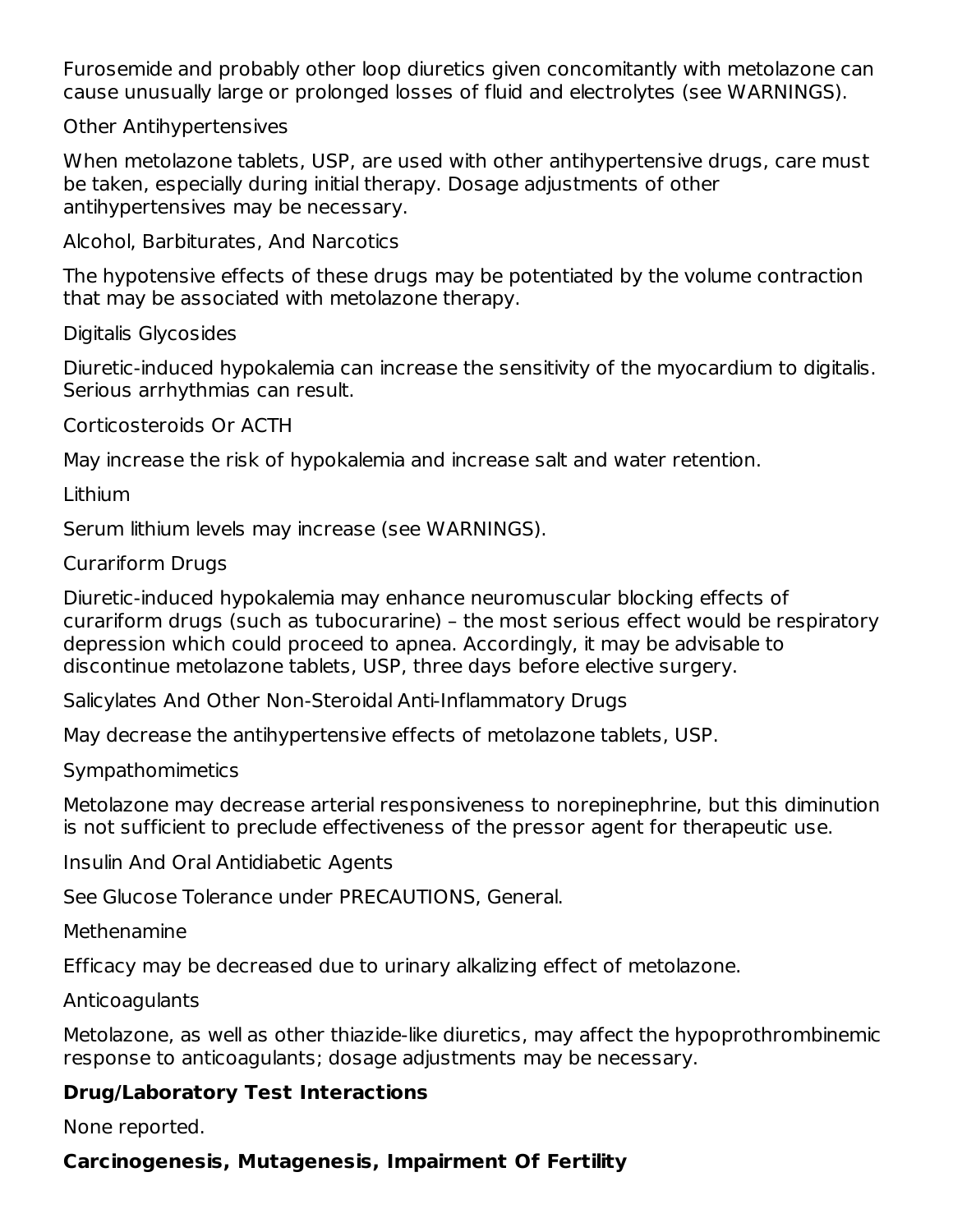Furosemide and probably other loop diuretics given concomitantly with metolazone can cause unusually large or prolonged losses of fluid and electrolytes (see WARNINGS).

Other Antihypertensives

When metolazone tablets, USP, are used with other antihypertensive drugs, care must be taken, especially during initial therapy. Dosage adjustments of other antihypertensives may be necessary.

Alcohol, Barbiturates, And Narcotics

The hypotensive effects of these drugs may be potentiated by the volume contraction that may be associated with metolazone therapy.

Digitalis Glycosides

Diuretic-induced hypokalemia can increase the sensitivity of the myocardium to digitalis. Serious arrhythmias can result.

Corticosteroids Or ACTH

May increase the risk of hypokalemia and increase salt and water retention.

Lithium

Serum lithium levels may increase (see WARNINGS).

Curariform Drugs

Diuretic-induced hypokalemia may enhance neuromuscular blocking effects of curariform drugs (such as tubocurarine) – the most serious effect would be respiratory depression which could proceed to apnea. Accordingly, it may be advisable to discontinue metolazone tablets, USP, three days before elective surgery.

Salicylates And Other Non-Steroidal Anti-Inflammatory Drugs

May decrease the antihypertensive effects of metolazone tablets, USP.

**Sympathomimetics** 

Metolazone may decrease arterial responsiveness to norepinephrine, but this diminution is not sufficient to preclude effectiveness of the pressor agent for therapeutic use.

Insulin And Oral Antidiabetic Agents

See Glucose Tolerance under PRECAUTIONS, General.

Methenamine

Efficacy may be decreased due to urinary alkalizing effect of metolazone.

Anticoagulants

Metolazone, as well as other thiazide-like diuretics, may affect the hypoprothrombinemic response to anticoagulants; dosage adjustments may be necessary.

# **Drug/Laboratory Test Interactions**

None reported.

# **Carcinogenesis, Mutagenesis, Impairment Of Fertility**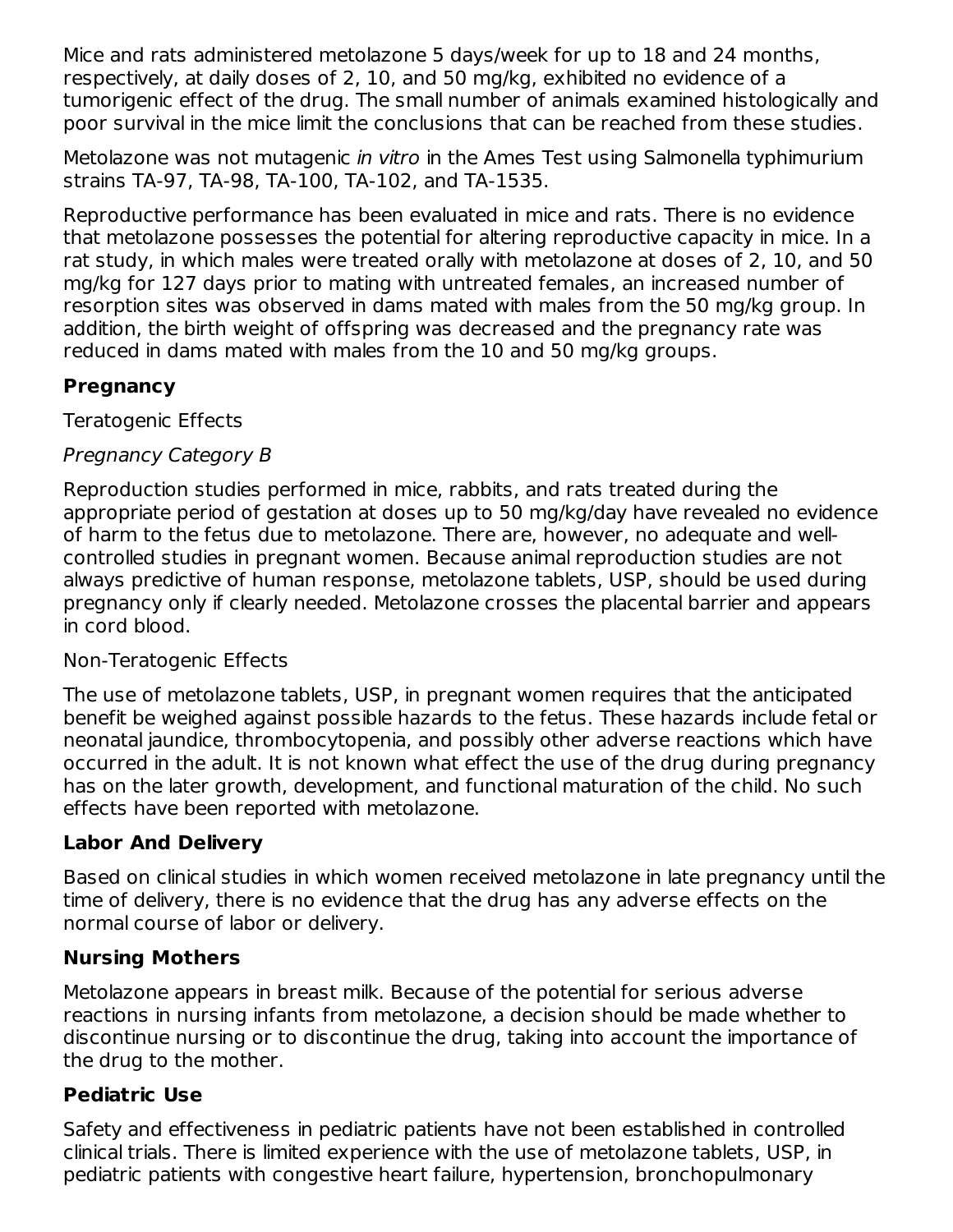Mice and rats administered metolazone 5 days/week for up to 18 and 24 months, respectively, at daily doses of 2, 10, and 50 mg/kg, exhibited no evidence of a tumorigenic effect of the drug. The small number of animals examined histologically and poor survival in the mice limit the conclusions that can be reached from these studies.

Metolazone was not mutagenic *in vitro* in the Ames Test using Salmonella typhimurium strains TA-97, TA-98, TA-100, TA-102, and TA-1535.

Reproductive performance has been evaluated in mice and rats. There is no evidence that metolazone possesses the potential for altering reproductive capacity in mice. In a rat study, in which males were treated orally with metolazone at doses of 2, 10, and 50 mg/kg for 127 days prior to mating with untreated females, an increased number of resorption sites was observed in dams mated with males from the 50 mg/kg group. In addition, the birth weight of offspring was decreased and the pregnancy rate was reduced in dams mated with males from the 10 and 50 mg/kg groups.

## **Pregnancy**

Teratogenic Effects

## Pregnancy Category B

Reproduction studies performed in mice, rabbits, and rats treated during the appropriate period of gestation at doses up to 50 mg/kg/day have revealed no evidence of harm to the fetus due to metolazone. There are, however, no adequate and wellcontrolled studies in pregnant women. Because animal reproduction studies are not always predictive of human response, metolazone tablets, USP, should be used during pregnancy only if clearly needed. Metolazone crosses the placental barrier and appears in cord blood.

#### Non-Teratogenic Effects

The use of metolazone tablets, USP, in pregnant women requires that the anticipated benefit be weighed against possible hazards to the fetus. These hazards include fetal or neonatal jaundice, thrombocytopenia, and possibly other adverse reactions which have occurred in the adult. It is not known what effect the use of the drug during pregnancy has on the later growth, development, and functional maturation of the child. No such effects have been reported with metolazone.

## **Labor And Delivery**

Based on clinical studies in which women received metolazone in late pregnancy until the time of delivery, there is no evidence that the drug has any adverse effects on the normal course of labor or delivery.

#### **Nursing Mothers**

Metolazone appears in breast milk. Because of the potential for serious adverse reactions in nursing infants from metolazone, a decision should be made whether to discontinue nursing or to discontinue the drug, taking into account the importance of the drug to the mother.

#### **Pediatric Use**

Safety and effectiveness in pediatric patients have not been established in controlled clinical trials. There is limited experience with the use of metolazone tablets, USP, in pediatric patients with congestive heart failure, hypertension, bronchopulmonary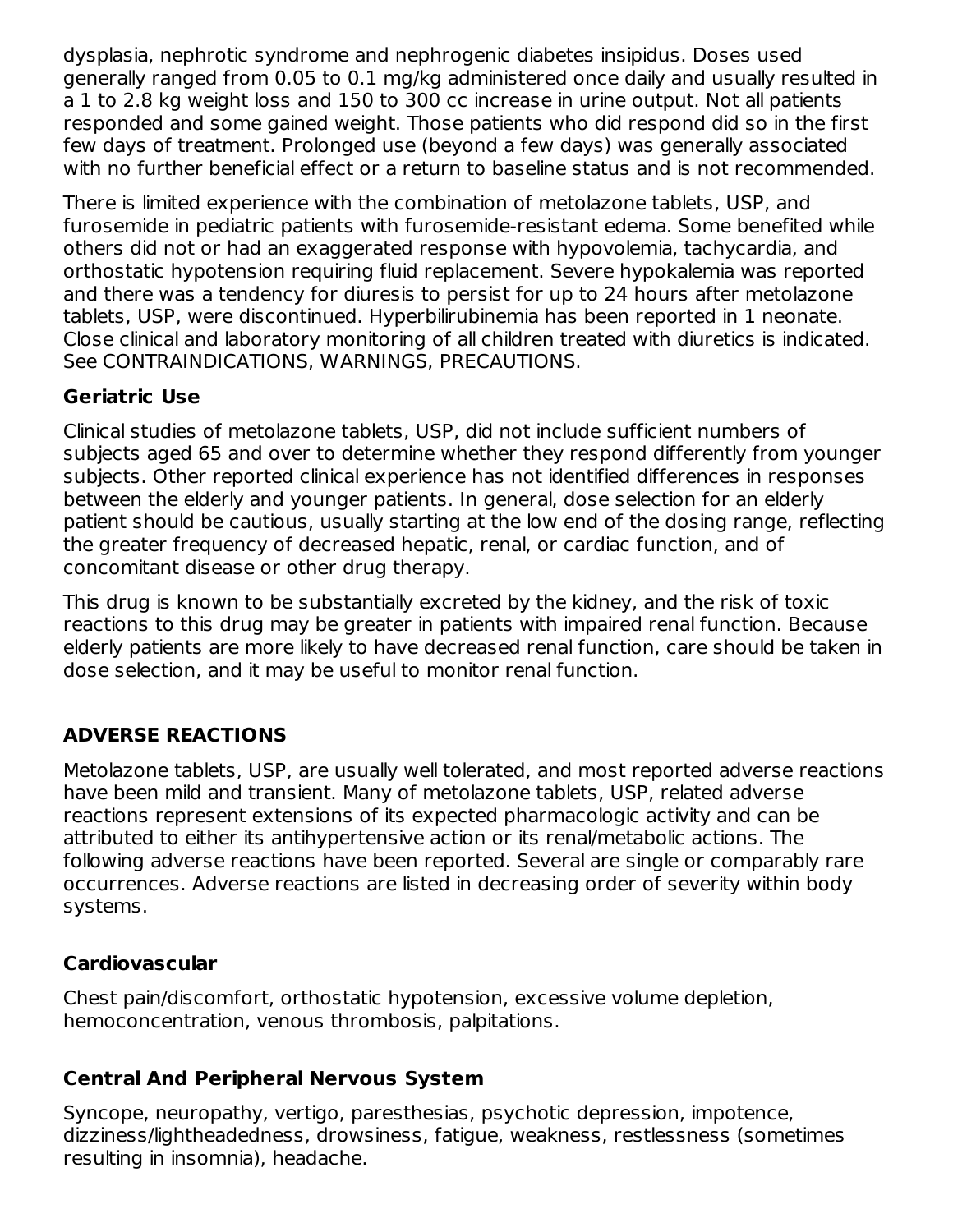dysplasia, nephrotic syndrome and nephrogenic diabetes insipidus. Doses used generally ranged from 0.05 to 0.1 mg/kg administered once daily and usually resulted in a 1 to 2.8 kg weight loss and 150 to 300 cc increase in urine output. Not all patients responded and some gained weight. Those patients who did respond did so in the first few days of treatment. Prolonged use (beyond a few days) was generally associated with no further beneficial effect or a return to baseline status and is not recommended.

There is limited experience with the combination of metolazone tablets, USP, and furosemide in pediatric patients with furosemide-resistant edema. Some benefited while others did not or had an exaggerated response with hypovolemia, tachycardia, and orthostatic hypotension requiring fluid replacement. Severe hypokalemia was reported and there was a tendency for diuresis to persist for up to 24 hours after metolazone tablets, USP, were discontinued. Hyperbilirubinemia has been reported in 1 neonate. Close clinical and laboratory monitoring of all children treated with diuretics is indicated. See CONTRAINDICATIONS, WARNINGS, PRECAUTIONS.

### **Geriatric Use**

Clinical studies of metolazone tablets, USP, did not include sufficient numbers of subjects aged 65 and over to determine whether they respond differently from younger subjects. Other reported clinical experience has not identified differences in responses between the elderly and younger patients. In general, dose selection for an elderly patient should be cautious, usually starting at the low end of the dosing range, reflecting the greater frequency of decreased hepatic, renal, or cardiac function, and of concomitant disease or other drug therapy.

This drug is known to be substantially excreted by the kidney, and the risk of toxic reactions to this drug may be greater in patients with impaired renal function. Because elderly patients are more likely to have decreased renal function, care should be taken in dose selection, and it may be useful to monitor renal function.

# **ADVERSE REACTIONS**

Metolazone tablets, USP, are usually well tolerated, and most reported adverse reactions have been mild and transient. Many of metolazone tablets, USP, related adverse reactions represent extensions of its expected pharmacologic activity and can be attributed to either its antihypertensive action or its renal/metabolic actions. The following adverse reactions have been reported. Several are single or comparably rare occurrences. Adverse reactions are listed in decreasing order of severity within body systems.

## **Cardiovascular**

Chest pain/discomfort, orthostatic hypotension, excessive volume depletion, hemoconcentration, venous thrombosis, palpitations.

## **Central And Peripheral Nervous System**

Syncope, neuropathy, vertigo, paresthesias, psychotic depression, impotence, dizziness/lightheadedness, drowsiness, fatigue, weakness, restlessness (sometimes resulting in insomnia), headache.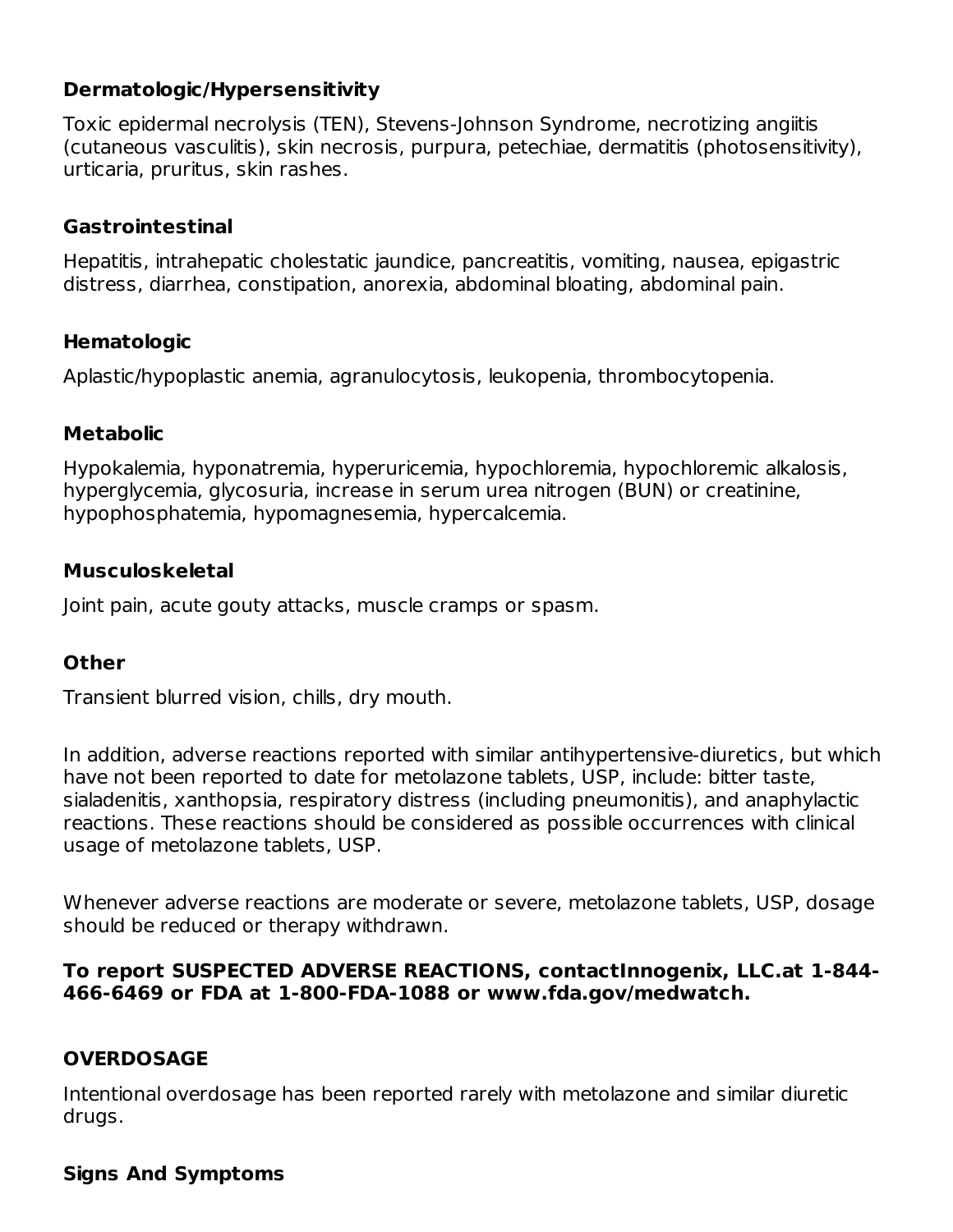#### **Dermatologic/Hypersensitivity**

Toxic epidermal necrolysis (TEN), Stevens-Johnson Syndrome, necrotizing angiitis (cutaneous vasculitis), skin necrosis, purpura, petechiae, dermatitis (photosensitivity), urticaria, pruritus, skin rashes.

#### **Gastrointestinal**

Hepatitis, intrahepatic cholestatic jaundice, pancreatitis, vomiting, nausea, epigastric distress, diarrhea, constipation, anorexia, abdominal bloating, abdominal pain.

#### **Hematologic**

Aplastic/hypoplastic anemia, agranulocytosis, leukopenia, thrombocytopenia.

#### **Metabolic**

Hypokalemia, hyponatremia, hyperuricemia, hypochloremia, hypochloremic alkalosis, hyperglycemia, glycosuria, increase in serum urea nitrogen (BUN) or creatinine, hypophosphatemia, hypomagnesemia, hypercalcemia.

#### **Musculoskeletal**

Joint pain, acute gouty attacks, muscle cramps or spasm.

#### **Other**

Transient blurred vision, chills, dry mouth.

In addition, adverse reactions reported with similar antihypertensive-diuretics, but which have not been reported to date for metolazone tablets, USP, include: bitter taste, sialadenitis, xanthopsia, respiratory distress (including pneumonitis), and anaphylactic reactions. These reactions should be considered as possible occurrences with clinical usage of metolazone tablets, USP.

Whenever adverse reactions are moderate or severe, metolazone tablets, USP, dosage should be reduced or therapy withdrawn.

#### **To report SUSPECTED ADVERSE REACTIONS, contactInnogenix, LLC.at 1-844- 466-6469 or FDA at 1-800-FDA-1088 or www.fda.gov/medwatch.**

#### **OVERDOSAGE**

Intentional overdosage has been reported rarely with metolazone and similar diuretic drugs.

#### **Signs And Symptoms**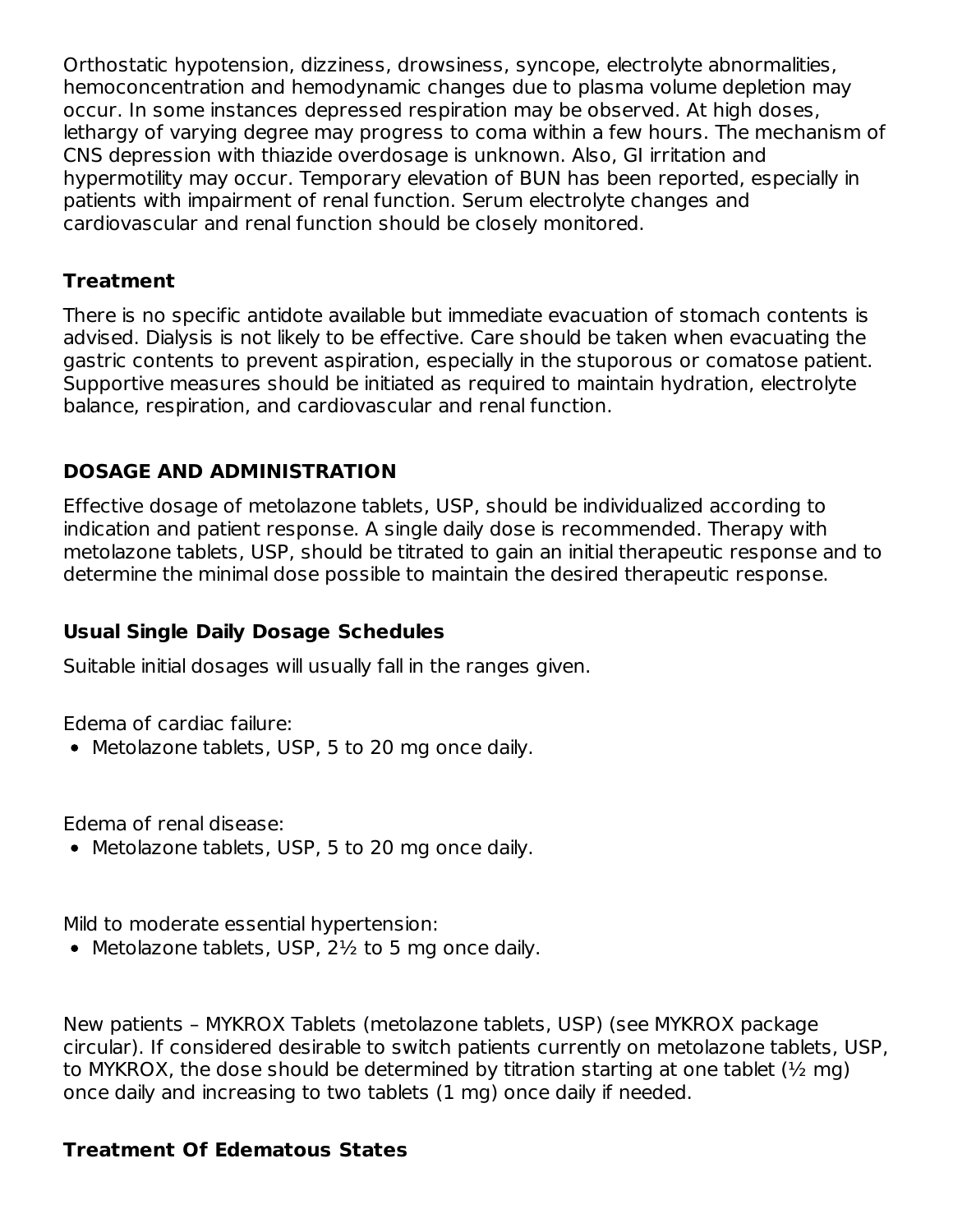Orthostatic hypotension, dizziness, drowsiness, syncope, electrolyte abnormalities, hemoconcentration and hemodynamic changes due to plasma volume depletion may occur. In some instances depressed respiration may be observed. At high doses, lethargy of varying degree may progress to coma within a few hours. The mechanism of CNS depression with thiazide overdosage is unknown. Also, GI irritation and hypermotility may occur. Temporary elevation of BUN has been reported, especially in patients with impairment of renal function. Serum electrolyte changes and cardiovascular and renal function should be closely monitored.

### **Treatment**

There is no specific antidote available but immediate evacuation of stomach contents is advised. Dialysis is not likely to be effective. Care should be taken when evacuating the gastric contents to prevent aspiration, especially in the stuporous or comatose patient. Supportive measures should be initiated as required to maintain hydration, electrolyte balance, respiration, and cardiovascular and renal function.

## **DOSAGE AND ADMINISTRATION**

Effective dosage of metolazone tablets, USP, should be individualized according to indication and patient response. A single daily dose is recommended. Therapy with metolazone tablets, USP, should be titrated to gain an initial therapeutic response and to determine the minimal dose possible to maintain the desired therapeutic response.

## **Usual Single Daily Dosage Schedules**

Suitable initial dosages will usually fall in the ranges given.

Edema of cardiac failure:

Metolazone tablets, USP, 5 to 20 mg once daily.

Edema of renal disease:

Metolazone tablets, USP, 5 to 20 mg once daily.

Mild to moderate essential hypertension:

• Metolazone tablets, USP, 21/2 to 5 mg once daily.

New patients – MYKROX Tablets (metolazone tablets, USP) (see MYKROX package circular). If considered desirable to switch patients currently on metolazone tablets, USP, to MYKROX, the dose should be determined by titration starting at one tablet (½ mg) once daily and increasing to two tablets (1 mg) once daily if needed.

## **Treatment Of Edematous States**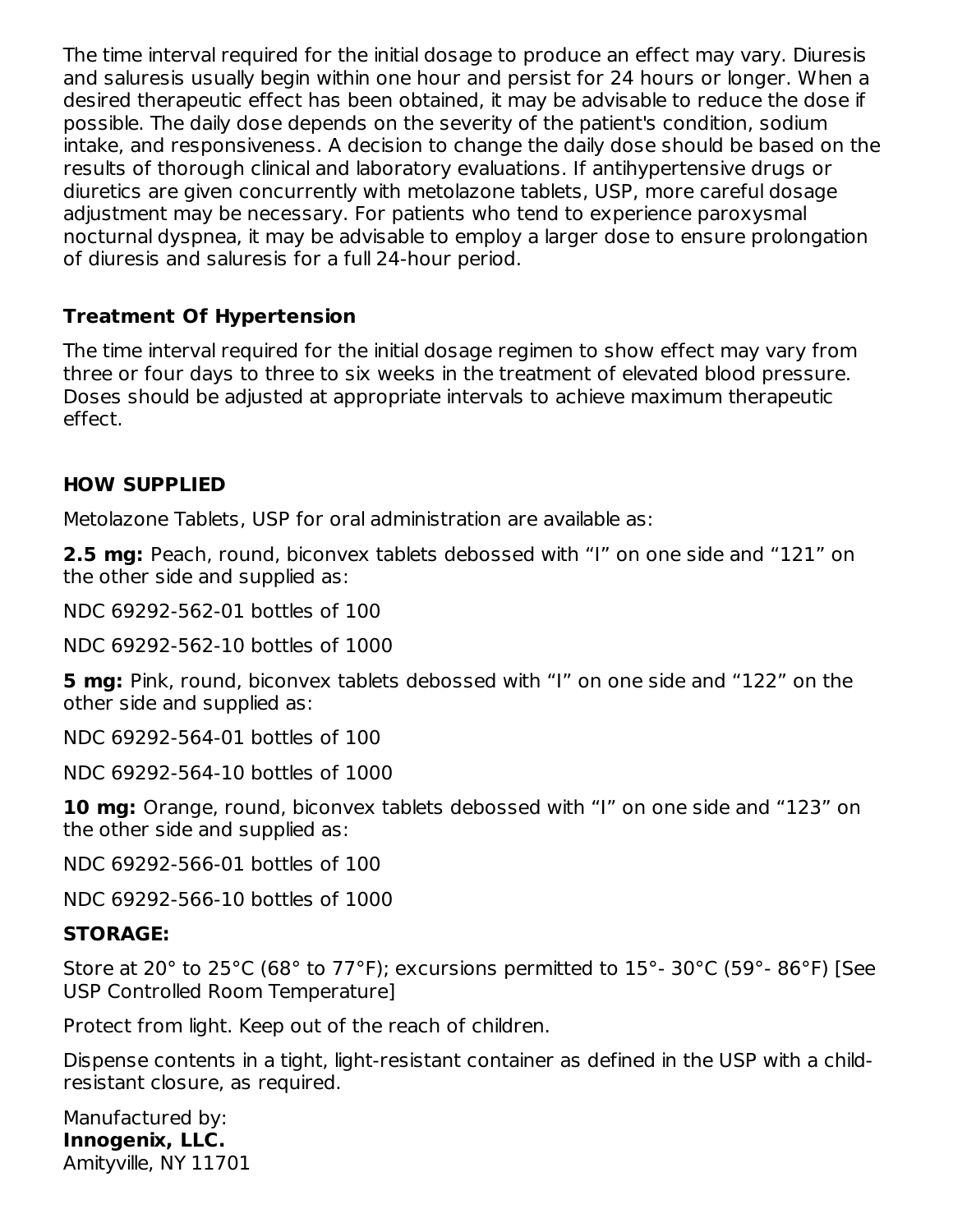The time interval required for the initial dosage to produce an effect may vary. Diuresis and saluresis usually begin within one hour and persist for 24 hours or longer. When a desired therapeutic effect has been obtained, it may be advisable to reduce the dose if possible. The daily dose depends on the severity of the patient's condition, sodium intake, and responsiveness. A decision to change the daily dose should be based on the results of thorough clinical and laboratory evaluations. If antihypertensive drugs or diuretics are given concurrently with metolazone tablets, USP, more careful dosage adjustment may be necessary. For patients who tend to experience paroxysmal nocturnal dyspnea, it may be advisable to employ a larger dose to ensure prolongation of diuresis and saluresis for a full 24-hour period.

## **Treatment Of Hypertension**

The time interval required for the initial dosage regimen to show effect may vary from three or four days to three to six weeks in the treatment of elevated blood pressure. Doses should be adjusted at appropriate intervals to achieve maximum therapeutic effect.

## **HOW SUPPLIED**

Metolazone Tablets, USP for oral administration are available as:

**2.5 mg:** Peach, round, biconvex tablets debossed with "I" on one side and "121" on the other side and supplied as:

NDC 69292-562-01 bottles of 100

NDC 69292-562-10 bottles of 1000

**5 mg:** Pink, round, biconvex tablets debossed with "I" on one side and "122" on the other side and supplied as:

NDC 69292-564-01 bottles of 100

NDC 69292-564-10 bottles of 1000

**10 mg:** Orange, round, biconvex tablets debossed with "I" on one side and "123" on the other side and supplied as:

NDC 69292-566-01 bottles of 100

NDC 69292-566-10 bottles of 1000

## **STORAGE:**

Store at 20° to 25°C (68° to 77°F); excursions permitted to 15°- 30°C (59°- 86°F) [See USP Controlled Room Temperature]

Protect from light. Keep out of the reach of children.

Dispense contents in a tight, light-resistant container as defined in the USP with a childresistant closure, as required.

Manufactured by: **Innogenix, LLC.** Amityville, NY 11701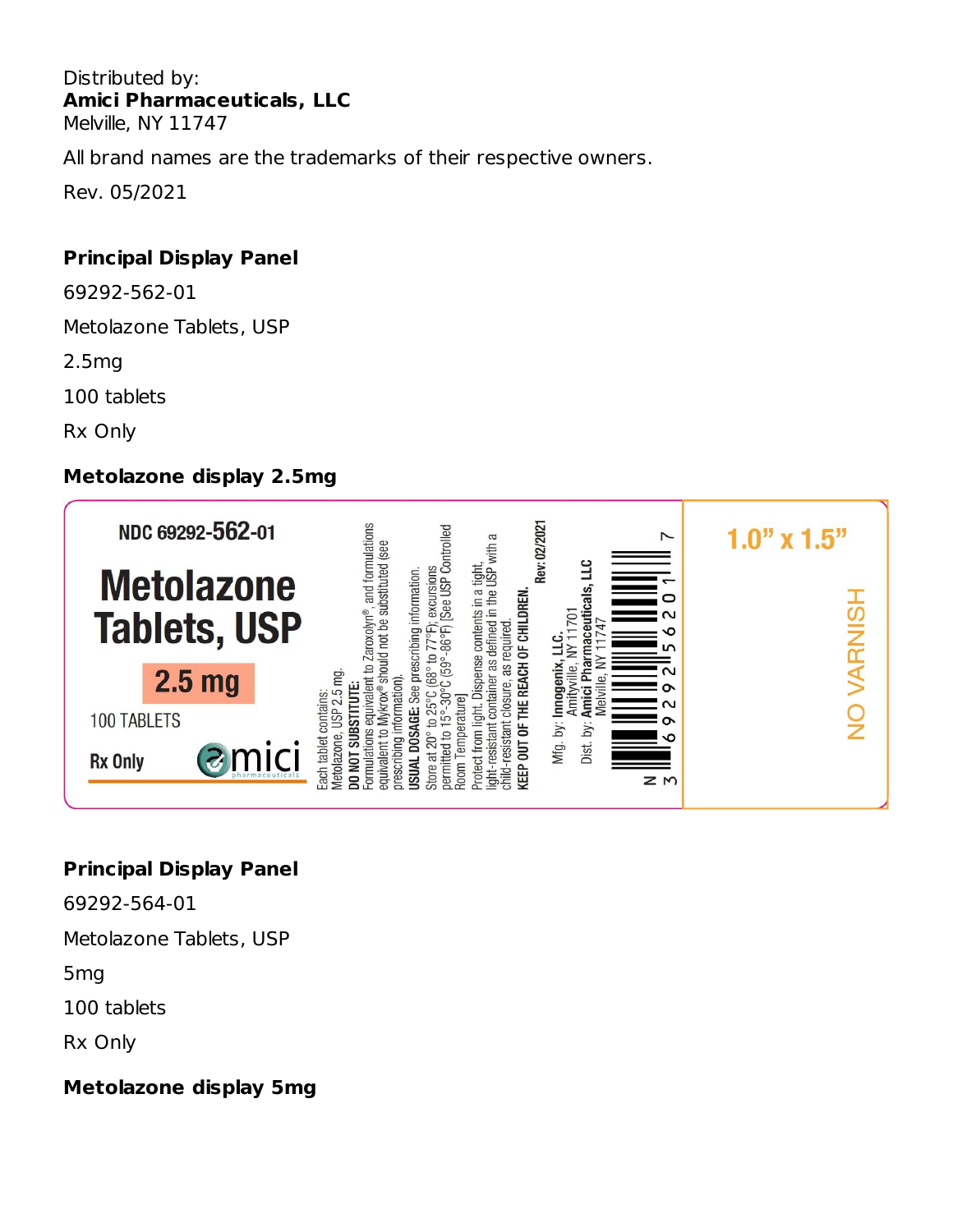Distributed by: **Amici Pharmaceuticals, LLC** Melville, NY 11747

All brand names are the trademarks of their respective owners.

Rev. 05/2021

# **Principal Display Panel**

69292-562-01

Metolazone Tablets, USP

2.5mg

100 tablets

Rx Only

## **Metolazone display 2.5mg**



## **Principal Display Panel**

69292-564-01

Metolazone Tablets, USP

5mg

100 tablets

Rx Only

## **Metolazone display 5mg**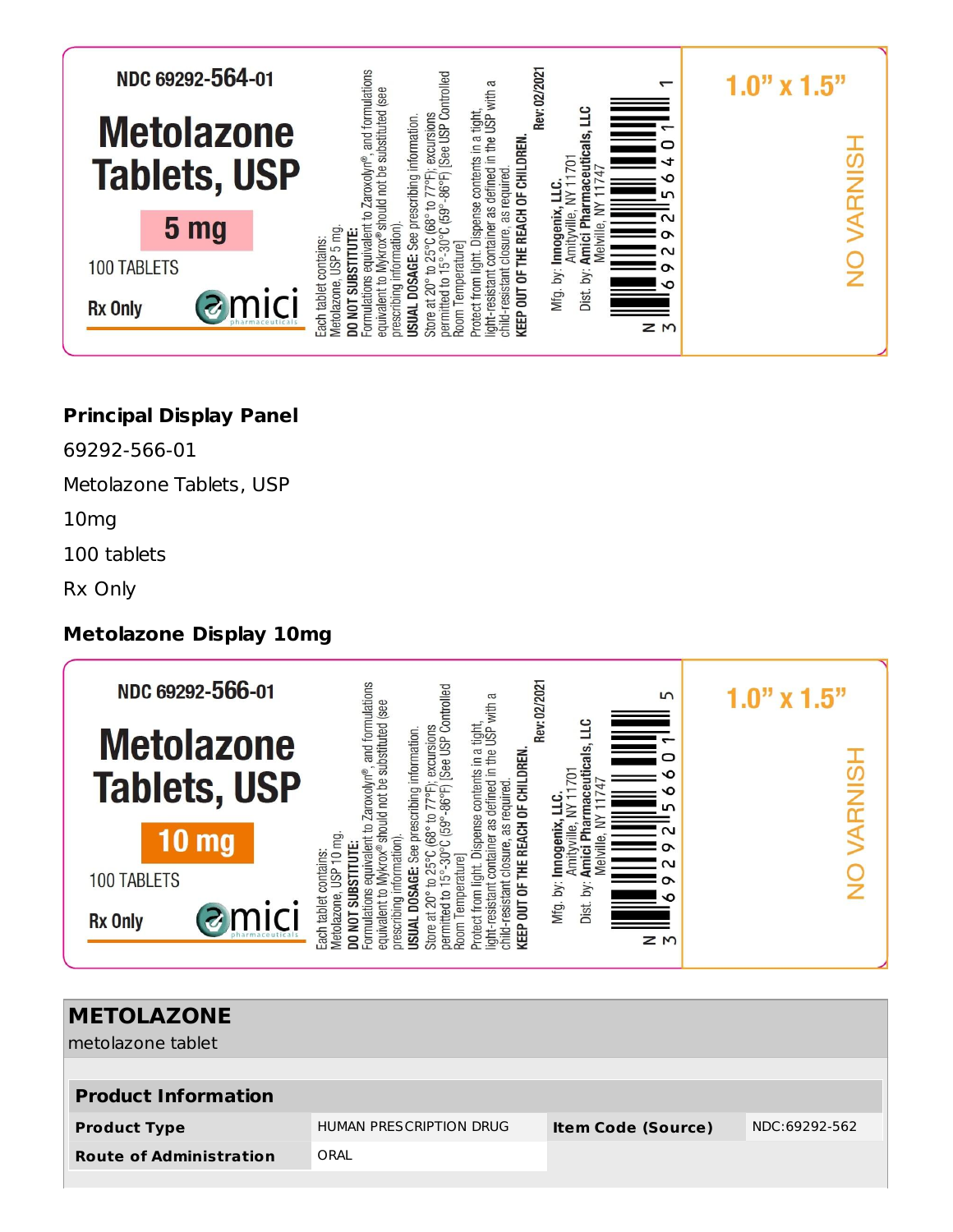

## **Principal Display Panel**

69292-566-01

Metolazone Tablets, USP

10mg

100 tablets

Rx Only

#### **Metolazone Display 10mg**



| <b>METOLAZONE</b>              |                         |                           |               |  |  |  |  |
|--------------------------------|-------------------------|---------------------------|---------------|--|--|--|--|
| metolazone tablet              |                         |                           |               |  |  |  |  |
|                                |                         |                           |               |  |  |  |  |
| <b>Product Information</b>     |                         |                           |               |  |  |  |  |
| <b>Product Type</b>            | HUMAN PRESCRIPTION DRUG | <b>Item Code (Source)</b> | NDC:69292-562 |  |  |  |  |
| <b>Route of Administration</b> | ORAL                    |                           |               |  |  |  |  |
|                                |                         |                           |               |  |  |  |  |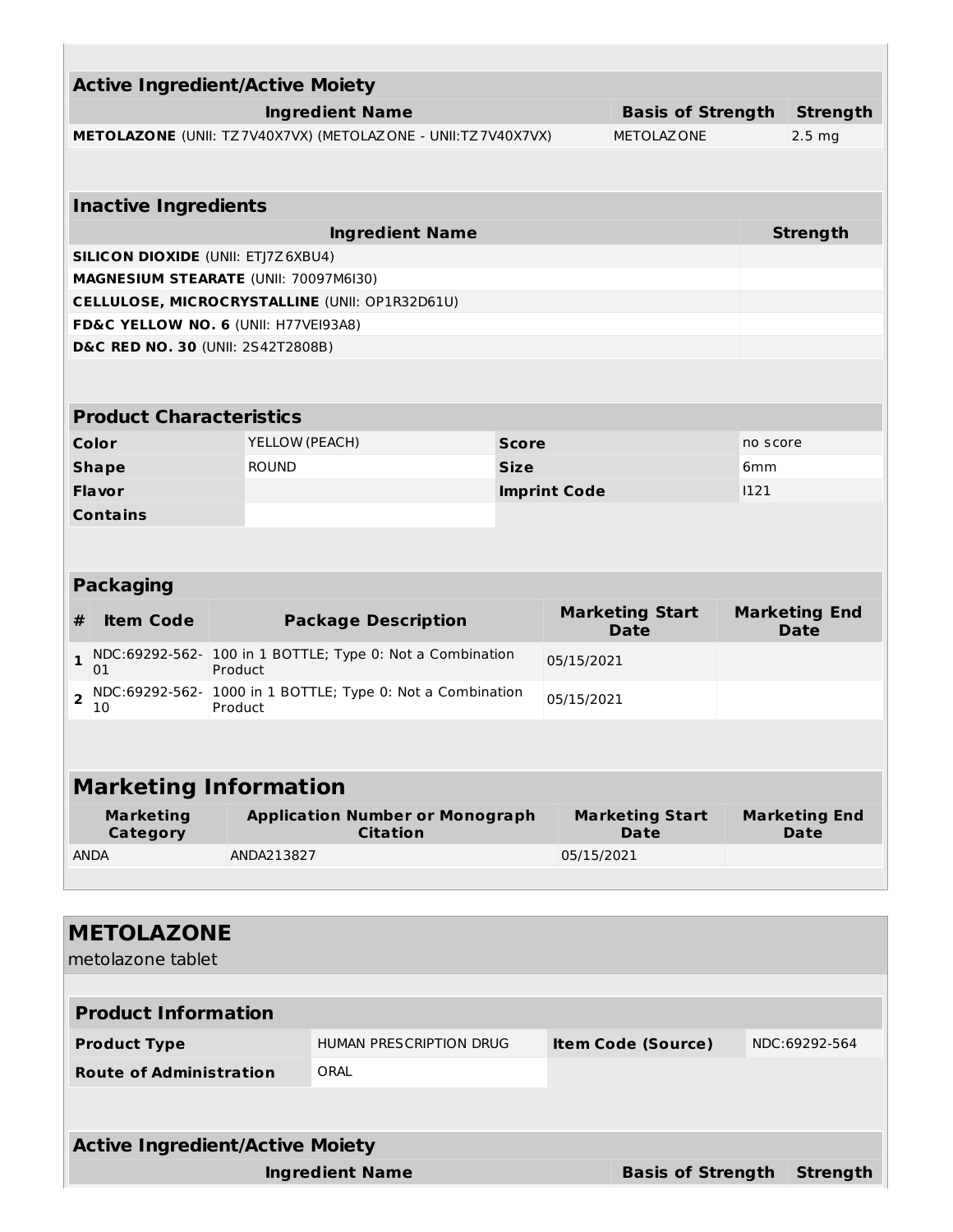| <b>Active Ingredient/Active Moiety</b> |                                                                                          |                |                                                            |              |                     |                                       |                 |                                     |  |
|----------------------------------------|------------------------------------------------------------------------------------------|----------------|------------------------------------------------------------|--------------|---------------------|---------------------------------------|-----------------|-------------------------------------|--|
|                                        | <b>Ingredient Name</b><br>METOLAZONE (UNII: TZ 7V40X7VX) (METOLAZONE - UNII:TZ 7V40X7VX) |                |                                                            |              |                     | <b>Basis of Strength</b>              |                 | <b>Strength</b>                     |  |
|                                        |                                                                                          |                |                                                            |              |                     | METOLAZ ONE                           |                 | $2.5 \text{ mg}$                    |  |
|                                        |                                                                                          |                |                                                            |              |                     |                                       |                 |                                     |  |
|                                        | <b>Inactive Ingredients</b>                                                              |                |                                                            |              |                     |                                       |                 |                                     |  |
|                                        |                                                                                          |                | <b>Ingredient Name</b>                                     |              |                     |                                       |                 | <b>Strength</b>                     |  |
|                                        | <b>SILICON DIOXIDE (UNII: ETJ7Z6XBU4)</b>                                                |                |                                                            |              |                     |                                       |                 |                                     |  |
|                                        | MAGNESIUM STEARATE (UNII: 70097M6I30)                                                    |                |                                                            |              |                     |                                       |                 |                                     |  |
|                                        |                                                                                          |                | CELLULOSE, MICROCRYSTALLINE (UNII: OP1R32D61U)             |              |                     |                                       |                 |                                     |  |
|                                        | FD&C YELLOW NO. 6 (UNII: H77VEI93A8)                                                     |                |                                                            |              |                     |                                       |                 |                                     |  |
|                                        | D&C RED NO. 30 (UNII: 2S42T2808B)                                                        |                |                                                            |              |                     |                                       |                 |                                     |  |
|                                        |                                                                                          |                |                                                            |              |                     |                                       |                 |                                     |  |
|                                        | <b>Product Characteristics</b>                                                           |                |                                                            |              |                     |                                       |                 |                                     |  |
|                                        | Color                                                                                    | YELLOW (PEACH) |                                                            | <b>Score</b> |                     |                                       | no score        |                                     |  |
|                                        | <b>Shape</b>                                                                             | <b>ROUND</b>   |                                                            | <b>Size</b>  |                     |                                       | 6 <sub>mm</sub> |                                     |  |
|                                        | Flavor                                                                                   |                |                                                            |              | <b>Imprint Code</b> |                                       | 1121            |                                     |  |
|                                        | <b>Contains</b>                                                                          |                |                                                            |              |                     |                                       |                 |                                     |  |
|                                        |                                                                                          |                |                                                            |              |                     |                                       |                 |                                     |  |
|                                        | <b>Packaging</b>                                                                         |                |                                                            |              |                     |                                       |                 |                                     |  |
| #                                      | <b>Item Code</b>                                                                         |                | <b>Package Description</b>                                 |              |                     | <b>Marketing Start</b><br><b>Date</b> |                 | <b>Marketing End</b><br><b>Date</b> |  |
|                                        |                                                                                          |                | NDC:69292-562- 100 in 1 BOTTLE; Type 0: Not a Combination  |              |                     |                                       |                 |                                     |  |
| 1                                      | 01                                                                                       | Product        |                                                            |              | 05/15/2021          |                                       |                 |                                     |  |
| $\overline{2}$                         | 10                                                                                       | Product        | NDC:69292-562- 1000 in 1 BOTTLE; Type 0: Not a Combination |              | 05/15/2021          |                                       |                 |                                     |  |
|                                        |                                                                                          |                |                                                            |              |                     |                                       |                 |                                     |  |
|                                        |                                                                                          |                |                                                            |              |                     |                                       |                 |                                     |  |
|                                        |                                                                                          |                |                                                            |              |                     |                                       |                 |                                     |  |
|                                        | <b>Marketing Information</b>                                                             |                |                                                            |              |                     |                                       |                 |                                     |  |
|                                        | <b>Marketing</b><br>Category                                                             |                | <b>Application Number or Monograph</b><br><b>Citation</b>  |              |                     | <b>Marketing Start</b><br><b>Date</b> |                 | <b>Marketing End</b><br><b>Date</b> |  |
|                                        | <b>ANDA</b>                                                                              | ANDA213827     |                                                            |              | 05/15/2021          |                                       |                 |                                     |  |
|                                        |                                                                                          |                |                                                            |              |                     |                                       |                 |                                     |  |
|                                        |                                                                                          |                |                                                            |              |                     |                                       |                 |                                     |  |
|                                        | <b>METOLAZONE</b>                                                                        |                |                                                            |              |                     |                                       |                 |                                     |  |
|                                        | metolazone tablet                                                                        |                |                                                            |              |                     |                                       |                 |                                     |  |
|                                        |                                                                                          |                |                                                            |              |                     |                                       |                 |                                     |  |
|                                        | <b>Product Information</b>                                                               |                |                                                            |              |                     |                                       |                 |                                     |  |
|                                        |                                                                                          |                |                                                            |              |                     |                                       |                 |                                     |  |
|                                        |                                                                                          |                |                                                            |              |                     |                                       |                 |                                     |  |
|                                        | <b>Product Type</b>                                                                      |                | HUMAN PRESCRIPTION DRUG                                    |              |                     | <b>Item Code (Source)</b>             |                 | NDC:69292-564                       |  |
|                                        | <b>Route of Administration</b>                                                           |                | ORAL                                                       |              |                     |                                       |                 |                                     |  |
|                                        |                                                                                          |                |                                                            |              |                     |                                       |                 |                                     |  |
|                                        | <b>Active Ingredient/Active Moiety</b>                                                   |                |                                                            |              |                     |                                       |                 |                                     |  |

L

**Ingredient Name Basis of Strength Strength**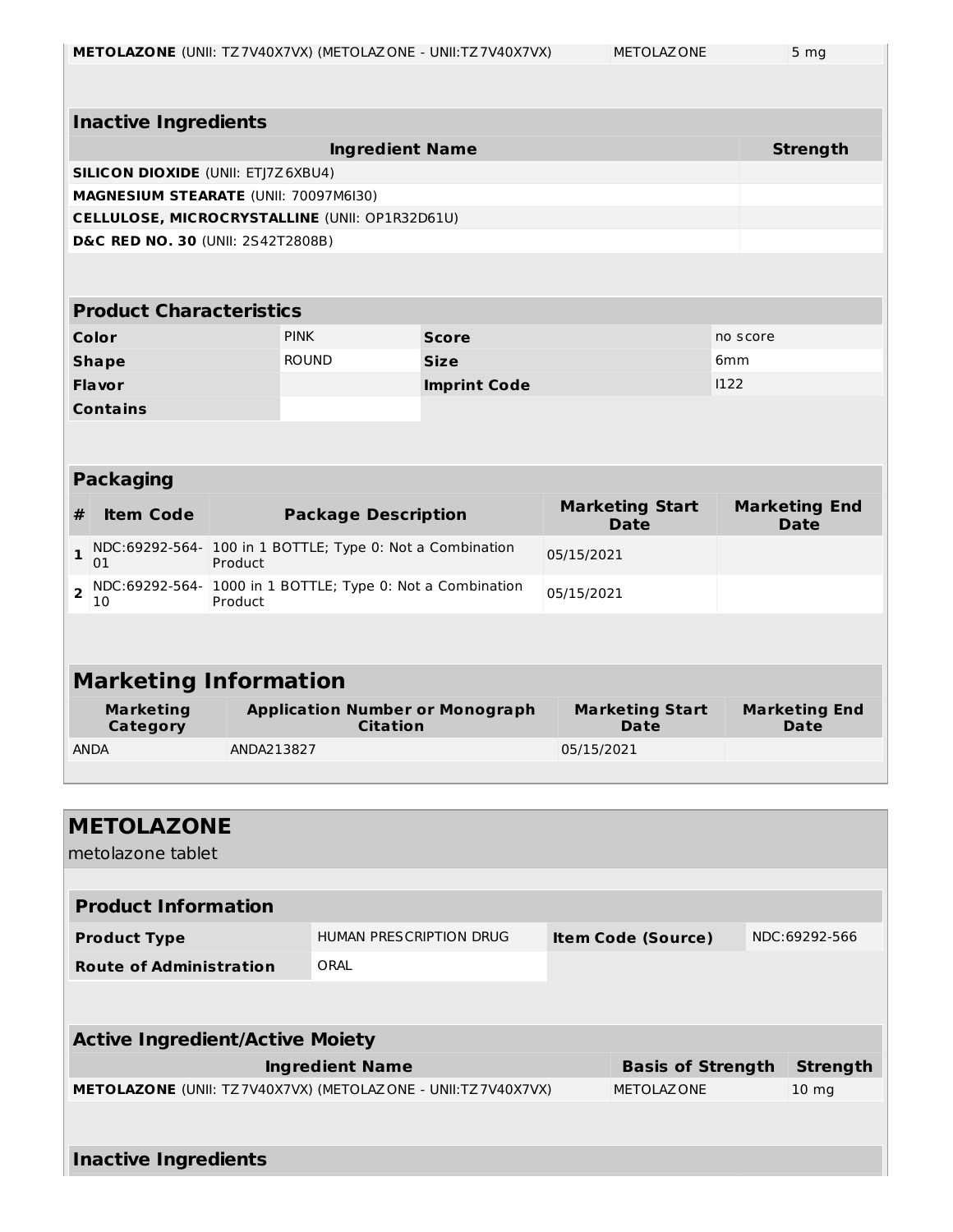| <b>Inactive Ingredients</b>                                    |                                           |                                                           |                     |                           |                                       |                 |                                     |  |
|----------------------------------------------------------------|-------------------------------------------|-----------------------------------------------------------|---------------------|---------------------------|---------------------------------------|-----------------|-------------------------------------|--|
| <b>Ingredient Name</b>                                         |                                           |                                                           |                     |                           |                                       |                 | <b>Strength</b>                     |  |
|                                                                | <b>SILICON DIOXIDE (UNII: ETJ7Z6XBU4)</b> |                                                           |                     |                           |                                       |                 |                                     |  |
|                                                                | MAGNESIUM STEARATE (UNII: 70097M6I30)     |                                                           |                     |                           |                                       |                 |                                     |  |
| CELLULOSE, MICROCRYSTALLINE (UNII: OP1R32D61U)                 |                                           |                                                           |                     |                           |                                       |                 |                                     |  |
| D&C RED NO. 30 (UNII: 2S42T2808B)                              |                                           |                                                           |                     |                           |                                       |                 |                                     |  |
|                                                                |                                           |                                                           |                     |                           |                                       |                 |                                     |  |
| <b>Product Characteristics</b>                                 |                                           |                                                           |                     |                           |                                       |                 |                                     |  |
| Color                                                          |                                           | <b>PINK</b>                                               |                     |                           | no score                              |                 |                                     |  |
| <b>Shape</b>                                                   |                                           | <b>ROUND</b>                                              | <b>Size</b>         |                           |                                       | 6mm             |                                     |  |
| <b>Flavor</b>                                                  |                                           |                                                           | <b>Imprint Code</b> |                           |                                       | 1122            |                                     |  |
| <b>Contains</b>                                                |                                           |                                                           |                     |                           |                                       |                 |                                     |  |
|                                                                |                                           |                                                           |                     |                           |                                       |                 |                                     |  |
| <b>Packaging</b>                                               |                                           |                                                           |                     |                           |                                       |                 |                                     |  |
| <b>Item Code</b><br>#                                          |                                           | <b>Package Description</b>                                |                     |                           | <b>Marketing Start</b><br><b>Date</b> |                 | <b>Marketing End</b><br><b>Date</b> |  |
| $\mathbf{1}$<br>01                                             | Product                                   | NDC:69292-564- 100 in 1 BOTTLE; Type 0: Not a Combination |                     | 05/15/2021                |                                       |                 |                                     |  |
| NDC:69292-564-<br>$\overline{2}$<br>10                         | Product                                   | 1000 in 1 BOTTLE; Type 0: Not a Combination               |                     | 05/15/2021                |                                       |                 |                                     |  |
|                                                                |                                           |                                                           |                     |                           |                                       |                 |                                     |  |
|                                                                |                                           |                                                           |                     |                           |                                       |                 |                                     |  |
| <b>Marketing Information</b>                                   |                                           |                                                           |                     |                           |                                       |                 |                                     |  |
| <b>Marketing</b>                                               |                                           |                                                           |                     |                           | <b>Marketing Start</b>                |                 | <b>Marketing End</b>                |  |
| <b>Category</b>                                                |                                           | <b>Application Number or Monograph</b><br><b>Citation</b> |                     | Date                      |                                       | <b>Date</b>     |                                     |  |
| ANDA213827<br><b>ANDA</b>                                      |                                           |                                                           |                     | 05/15/2021                |                                       |                 |                                     |  |
|                                                                |                                           |                                                           |                     |                           |                                       |                 |                                     |  |
|                                                                |                                           |                                                           |                     |                           |                                       |                 |                                     |  |
| <b>METOLAZONE</b>                                              |                                           |                                                           |                     |                           |                                       |                 |                                     |  |
| metolazone tablet                                              |                                           |                                                           |                     |                           |                                       |                 |                                     |  |
|                                                                |                                           |                                                           |                     |                           |                                       |                 |                                     |  |
| <b>Product Information</b>                                     |                                           |                                                           |                     |                           |                                       |                 |                                     |  |
| <b>Product Type</b>                                            |                                           | HUMAN PRESCRIPTION DRUG                                   |                     | <b>Item Code (Source)</b> |                                       | NDC:69292-566   |                                     |  |
| <b>Route of Administration</b>                                 |                                           | ORAL                                                      |                     |                           |                                       |                 |                                     |  |
|                                                                |                                           |                                                           |                     |                           |                                       |                 |                                     |  |
|                                                                |                                           |                                                           |                     |                           |                                       |                 |                                     |  |
| <b>Active Ingredient/Active Moiety</b>                         |                                           |                                                           |                     |                           |                                       |                 |                                     |  |
|                                                                |                                           | <b>Ingredient Name</b>                                    |                     | <b>Basis of Strength</b>  |                                       | <b>Strength</b> |                                     |  |
| METOLAZONE (UNII: TZ 7V40X7VX) (METOLAZONE - UNII:TZ 7V40X7VX) |                                           |                                                           |                     |                           | METOLAZ ONE                           |                 | 10 <sub>mg</sub>                    |  |
|                                                                |                                           |                                                           |                     |                           |                                       |                 |                                     |  |
|                                                                |                                           |                                                           |                     |                           |                                       |                 |                                     |  |
|                                                                |                                           |                                                           |                     |                           |                                       |                 |                                     |  |